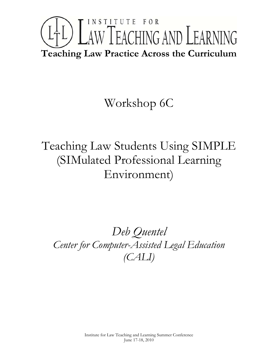# INSTITUTE FOR LTL) LAW TEACHING AND LEARNING **Teaching Law Practice Across the Curriculum**

## Workshop 6C

Teaching Law Students Using SIMPLE (SIMulated Professional Learning Environment)

*Deb Quentel Center for Computer-Assisted Legal Education (CALI)*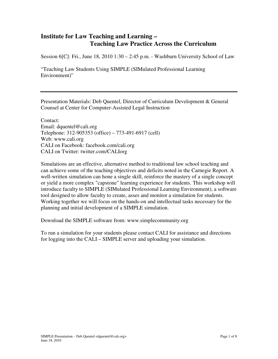#### **Institute for Law Teaching and Learning – Teaching Law Practice Across the Curriculum**

Session 6[C]: Fri., June 18, 2010 1:30 – 2:45 p.m. - Washburn University School of Law

"Teaching Law Students Using SIMPLE (SIMulated Professional Learning Environment)"

Presentation Materials: Deb Quentel, Director of Curriculum Development & General Counsel at Center for Computer-Assisted Legal Instruction

Contact: Email: dquentel@cali.org Telephone: 312-905353 (office) – 773-491-6917 (cell) Web: www.cali.org CALI on Facebook: facebook.com/cali.org CALI on Twitter: twitter.com/CALIorg

Simulations are an effective, alternative method to traditional law school teaching and can achieve some of the teaching objectives and deficits noted in the Carnegie Report. A well-written simulation can hone a single skill, reinforce the mastery of a single concept or yield a more complex "capstone" learning experience for students. This workshop will introduce faculty to SIMPLE (SIMulated Professional Learning Environment), a software tool designed to allow faculty to create, asses and monitor a simulation for students. Working together we will focus on the hands-on and intellectual tasks necessary for the planning and initial development of a SIMPLE simulation.

Download the SIMPLE software from: www.simplecommunity.org

To run a simulation for your students please contact CALI for assistance and directions for logging into the CALI – SIMPLE server and uploading your simulation.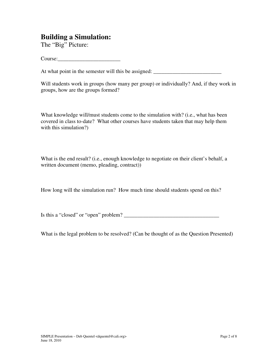#### **Building a Simulation:**

The "Big" Picture:

Course:

At what point in the semester will this be assigned: \_\_\_\_\_\_\_\_\_\_\_\_\_\_\_\_\_\_\_\_\_\_\_\_\_\_\_\_

Will students work in groups (how many per group) or individually? And, if they work in groups, how are the groups formed?

What knowledge will/must students come to the simulation with? (i.e., what has been covered in class to-date? What other courses have students taken that may help them with this simulation?)

What is the end result? (i.e., enough knowledge to negotiate on their client's behalf, a written document (memo, pleading, contract))

How long will the simulation run? How much time should students spend on this?

Is this a "closed" or "open" problem?  $\qquad \qquad$ 

What is the legal problem to be resolved? (Can be thought of as the Question Presented)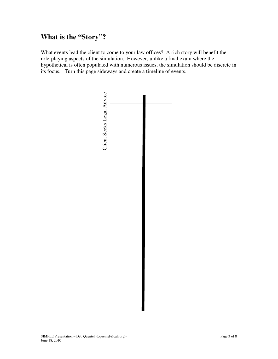#### **What is the "Story"?**

What events lead the client to come to your law offices? A rich story will benefit the role-playing aspects of the simulation. However, unlike a final exam where the hypothetical is often populated with numerous issues, the simulation should be discrete in its focus. Turn this page sideways and create a timeline of events.

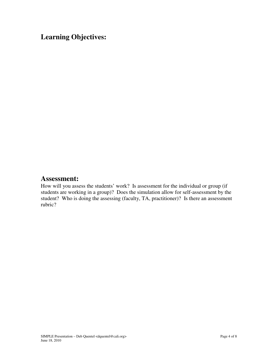## **Learning Objectives:**

#### **Assessment:**

How will you assess the students' work? Is assessment for the individual or group (if students are working in a group)? Does the simulation allow for self-assessment by the student? Who is doing the assessing (faculty, TA, practitioner)? Is there an assessment rubric?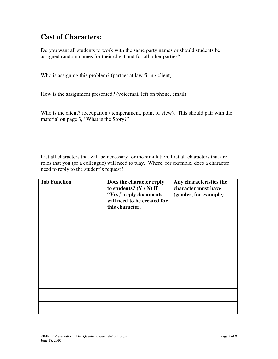#### **Cast of Characters:**

Do you want all students to work with the same party names or should students be assigned random names for their client and for all other parties?

Who is assigning this problem? (partner at law firm / client)

How is the assignment presented? (voicemail left on phone, email)

Who is the client? (occupation / temperament, point of view). This should pair with the material on page 3, "What is the Story?"

List all characters that will be necessary for the simulation. List all characters that are roles that you (or a colleague) will need to play. Where, for example, does a character need to reply to the student's request?

| <b>Job Function</b> | Does the character reply<br>to students? $(Y/N)$ If<br>"Yes," reply documents<br>will need to be created for<br>this character. | Any characteristics the<br>character must have<br>(gender, for example) |
|---------------------|---------------------------------------------------------------------------------------------------------------------------------|-------------------------------------------------------------------------|
|                     |                                                                                                                                 |                                                                         |
|                     |                                                                                                                                 |                                                                         |
|                     |                                                                                                                                 |                                                                         |
|                     |                                                                                                                                 |                                                                         |
|                     |                                                                                                                                 |                                                                         |
|                     |                                                                                                                                 |                                                                         |
|                     |                                                                                                                                 |                                                                         |
|                     |                                                                                                                                 |                                                                         |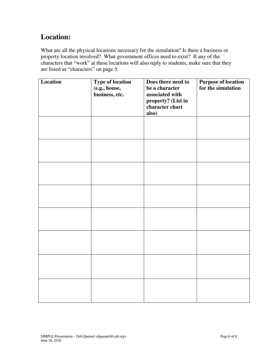## **Location:**

What are all the physical locations necessary for the simulation? Is there a business or property location involved? What government offices need to exist? If any of the characters that "work" at these locations will also reply to students, make sure that they are listed as "characters" on page 5.

| Location | <b>Type of location</b><br>(e.g., house,<br>business, etc. | Does there need to<br>be a character<br>associated with<br>property? (List in<br>character chart<br>also) | <b>Purpose of location</b><br>for the simulation |
|----------|------------------------------------------------------------|-----------------------------------------------------------------------------------------------------------|--------------------------------------------------|
|          |                                                            |                                                                                                           |                                                  |
|          |                                                            |                                                                                                           |                                                  |
|          |                                                            |                                                                                                           |                                                  |
|          |                                                            |                                                                                                           |                                                  |
|          |                                                            |                                                                                                           |                                                  |
|          |                                                            |                                                                                                           |                                                  |
|          |                                                            |                                                                                                           |                                                  |
|          |                                                            |                                                                                                           |                                                  |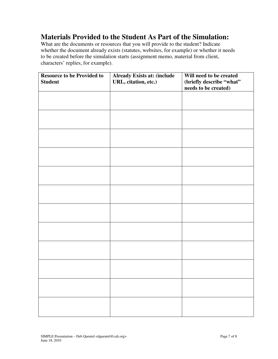#### **Materials Provided to the Student As Part of the Simulation:**

What are the documents or resources that you will provide to the student? Indicate whether the document already exists (statutes, websites, for example) or whether it needs to be created before the simulation starts (assignment memo, material from client, characters' replies, for example).

| <b>Resource to be Provided to</b><br><b>Student</b> | <b>Already Exists at: (include</b><br>URL, citation, etc.) | Will need to be created<br>(briefly describe "what"<br>needs to be created) |
|-----------------------------------------------------|------------------------------------------------------------|-----------------------------------------------------------------------------|
|                                                     |                                                            |                                                                             |
|                                                     |                                                            |                                                                             |
|                                                     |                                                            |                                                                             |
|                                                     |                                                            |                                                                             |
|                                                     |                                                            |                                                                             |
|                                                     |                                                            |                                                                             |
|                                                     |                                                            |                                                                             |
|                                                     |                                                            |                                                                             |
|                                                     |                                                            |                                                                             |
|                                                     |                                                            |                                                                             |
|                                                     |                                                            |                                                                             |
|                                                     |                                                            |                                                                             |